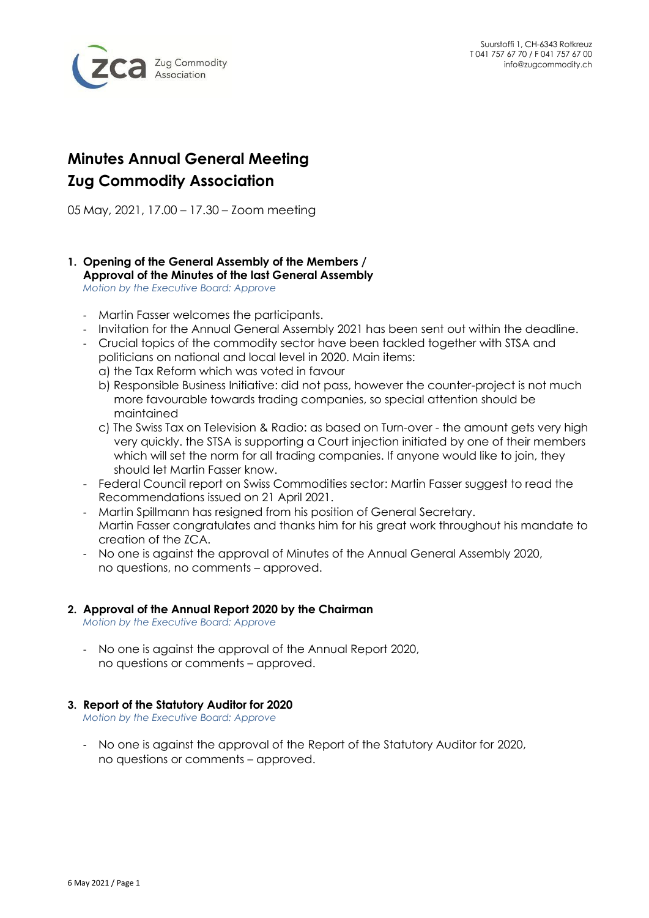

# **Minutes Annual General Meeting Zug Commodity Association**

05 May, 2021, 17.00 – 17.30 – Zoom meeting

## **1. Opening of the General Assembly of the Members / Approval of the Minutes of the last General Assembly**

*Motion by the Executive Board: Approve*

- Martin Fasser welcomes the participants.
- Invitation for the Annual General Assembly 2021 has been sent out within the deadline.
- Crucial topics of the commodity sector have been tackled together with STSA and politicians on national and local level in 2020. Main items:
	- a) the Tax Reform which was voted in favour
	- b) Responsible Business Initiative: did not pass, however the counter-project is not much more favourable towards trading companies, so special attention should be maintained
	- c) The Swiss Tax on Television & Radio: as based on Turn-over the amount gets very high very quickly. the STSA is supporting a Court injection initiated by one of their members which will set the norm for all trading companies. If anyone would like to join, they should let Martin Fasser know.
- Federal Council report on Swiss Commodities sector: Martin Fasser suggest to read the Recommendations issued on 21 April 2021.
- Martin Spillmann has resigned from his position of General Secretary. Martin Fasser congratulates and thanks him for his great work throughout his mandate to creation of the ZCA.
- No one is against the approval of Minutes of the Annual General Assembly 2020, no questions, no comments – approved.

#### **2. Approval of the Annual Report 2020 by the Chairman**

*Motion by the Executive Board: Approve*

- No one is against the approval of the Annual Report 2020, no questions or comments – approved.

### **3. Report of the Statutory Auditor for 2020**

*Motion by the Executive Board: Approve*

- No one is against the approval of the Report of the Statutory Auditor for 2020, no questions or comments – approved.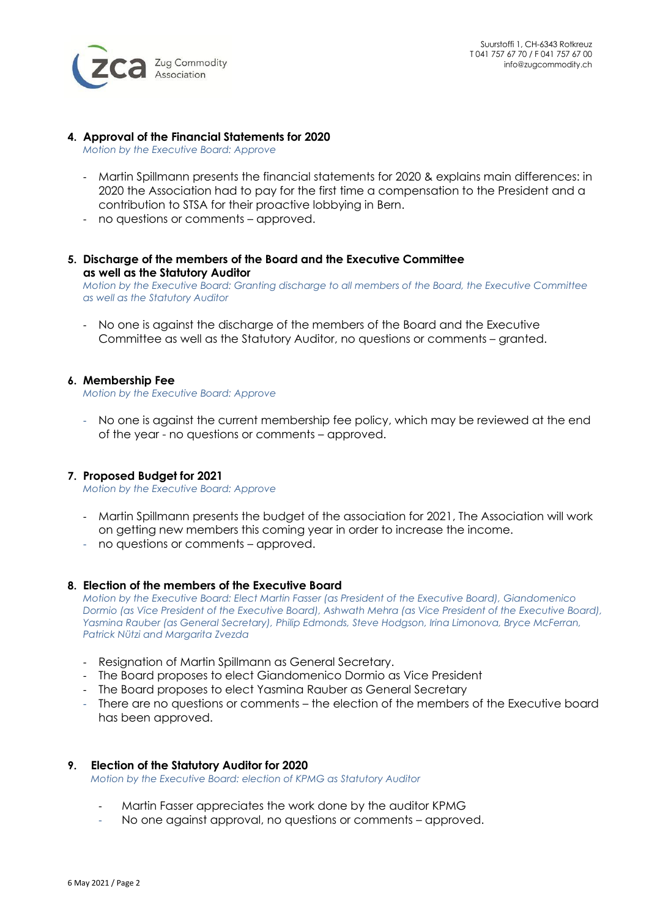

#### **4. Approval of the Financial Statements for 2020**

*Motion by the Executive Board: Approve*

- Martin Spillmann presents the financial statements for 2020 & explains main differences: in 2020 the Association had to pay for the first time a compensation to the President and a contribution to STSA for their proactive lobbying in Bern.
- no questions or comments approved.
- **5. Discharge of the members of the Board and the Executive Committee as well as the Statutory Auditor**

*Motion by the Executive Board: Granting discharge to all members of the Board, the Executive Committee as well as the Statutory Auditor*

- No one is against the discharge of the members of the Board and the Executive Committee as well as the Statutory Auditor, no questions or comments – granted.

#### **6. Membership Fee**

*Motion by the Executive Board: Approve*

- No one is against the current membership fee policy, which may be reviewed at the end of the year - no questions or comments – approved.

#### **7. Proposed Budget for 2021**

*Motion by the Executive Board: Approve*

- Martin Spillmann presents the budget of the association for 2021, The Association will work on getting new members this coming year in order to increase the income.
- no questions or comments approved.

#### **8. Election of the members of the Executive Board**

*Motion by the Executive Board: Elect Martin Fasser (as President of the Executive Board), Giandomenico Dormio (as Vice President of the Executive Board), Ashwath Mehra (as Vice President of the Executive Board), Yasmina Rauber (as General Secretary), Philip Edmonds, Steve Hodgson, Irina Limonova, Bryce McFerran, Patrick Nützi and Margarita Zvezda* 

- Resignation of Martin Spillmann as General Secretary.
- The Board proposes to elect Giandomenico Dormio as Vice President
- The Board proposes to elect Yasmina Rauber as General Secretary
- There are no questions or comments the election of the members of the Executive board has been approved.

#### **9. Election of the Statutory Auditor for 2020**

*Motion by the Executive Board: election of KPMG as Statutory Auditor*

- Martin Fasser appreciates the work done by the auditor KPMG
- No one against approval, no questions or comments approved.